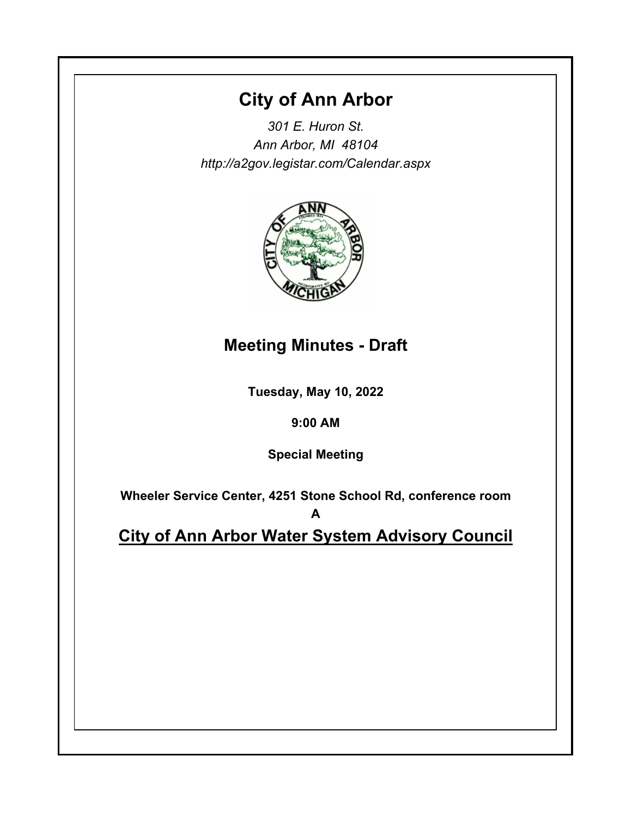# **City of Ann Arbor**

*301 E. Huron St. Ann Arbor, MI 48104 http://a2gov.legistar.com/Calendar.aspx*



# **Meeting Minutes - Draft**

**Tuesday, May 10, 2022**

# **9:00 AM**

**Special Meeting**

**Wheeler Service Center, 4251 Stone School Rd, conference room A**

**City of Ann Arbor Water System Advisory Council**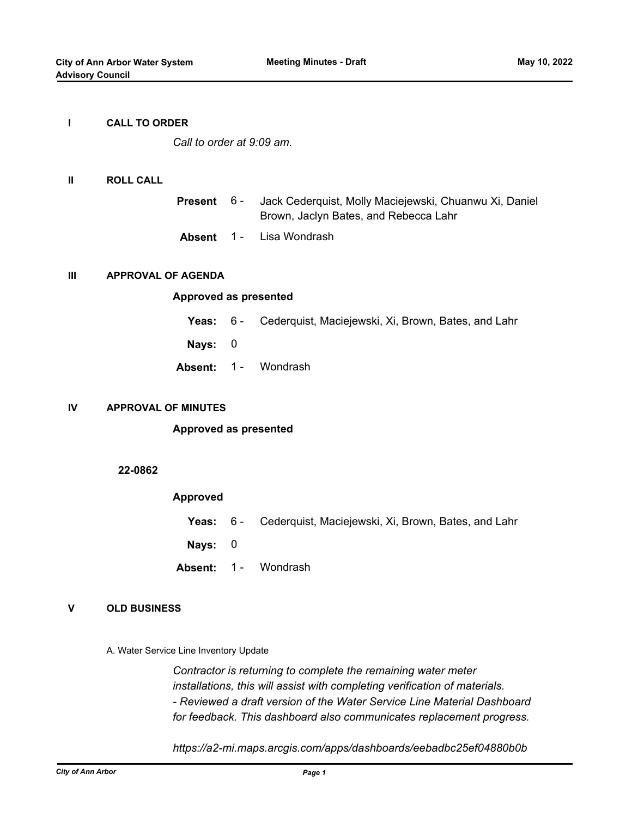#### **I CALL TO ORDER**

*Call to order at 9:09 am.*

#### **II ROLL CALL**

| <b>Present</b> 6 - | Jack Cederquist, Molly Maciejewski, Chuanwu Xi, Daniel |
|--------------------|--------------------------------------------------------|
|                    | Brown, Jaclyn Bates, and Rebecca Lahr                  |
|                    | <b>Absent</b> 1 - Lisa Wondrash                        |

#### **III APPROVAL OF AGENDA**

#### **Approved as presented**

- **Yeas:** 6 Cederquist, Maciejewski, Xi, Brown, Bates, and Lahr
- **Nays:** 0
- Absent: 1 Wondrash

### **IV APPROVAL OF MINUTES**

# **Approved as presented**

# **22-0862**

# **Approved**

- **Yeas:** 6 Cederquist, Maciejewski, Xi, Brown, Bates, and Lahr
- **Nays:** 0
- Absent: 1 Wondrash

# **V OLD BUSINESS**

A. Water Service Line Inventory Update

*Contractor is returning to complete the remaining water meter installations, this will assist with completing verification of materials. - Reviewed a draft version of the Water Service Line Material Dashboard for feedback. This dashboard also communicates replacement progress.*

*https://a2-mi.maps.arcgis.com/apps/dashboards/eebadbc25ef04880b0b*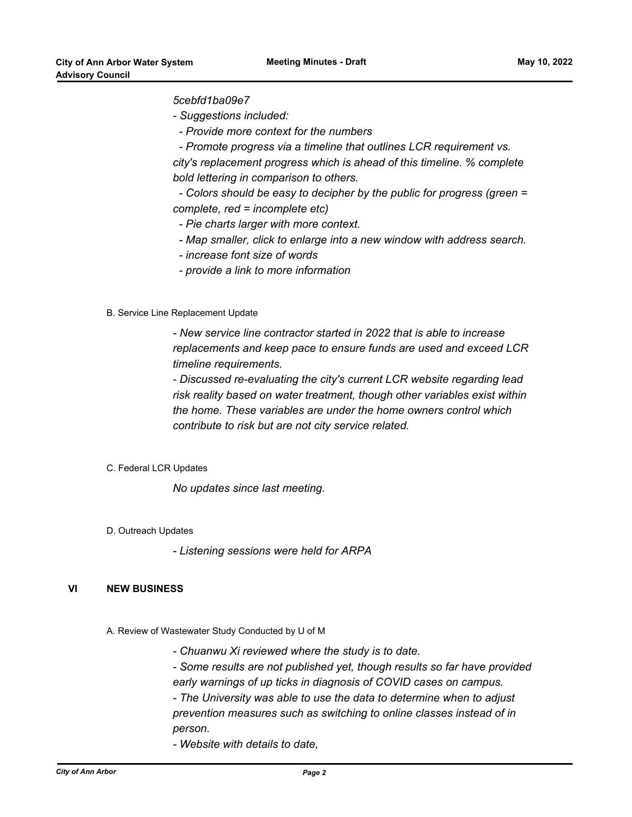# *5cebfd1ba09e7*

*- Suggestions included:*

 *- Provide more context for the numbers*

 *- Promote progress via a timeline that outlines LCR requirement vs. city's replacement progress which is ahead of this timeline. % complete bold lettering in comparison to others.*

 *- Colors should be easy to decipher by the public for progress (green = complete, red = incomplete etc)*

- *Pie charts larger with more context.*
- *Map smaller, click to enlarge into a new window with address search.*
- *increase font size of words*
- *provide a link to more information*

# B. Service Line Replacement Update

*- New service line contractor started in 2022 that is able to increase replacements and keep pace to ensure funds are used and exceed LCR timeline requirements.*

*- Discussed re-evaluating the city's current LCR website regarding lead risk reality based on water treatment, though other variables exist within the home. These variables are under the home owners control which contribute to risk but are not city service related.*

# C. Federal LCR Updates

*No updates since last meeting.*

D. Outreach Updates

*- Listening sessions were held for ARPA*

# **VI NEW BUSINESS**

A. Review of Wastewater Study Conducted by U of M

- *Chuanwu Xi reviewed where the study is to date.*
- *Some results are not published yet, though results so far have provided*
- *early warnings of up ticks in diagnosis of COVID cases on campus.*
- *The University was able to use the data to determine when to adjust prevention measures such as switching to online classes instead of in person.*
- *Website with details to date,*